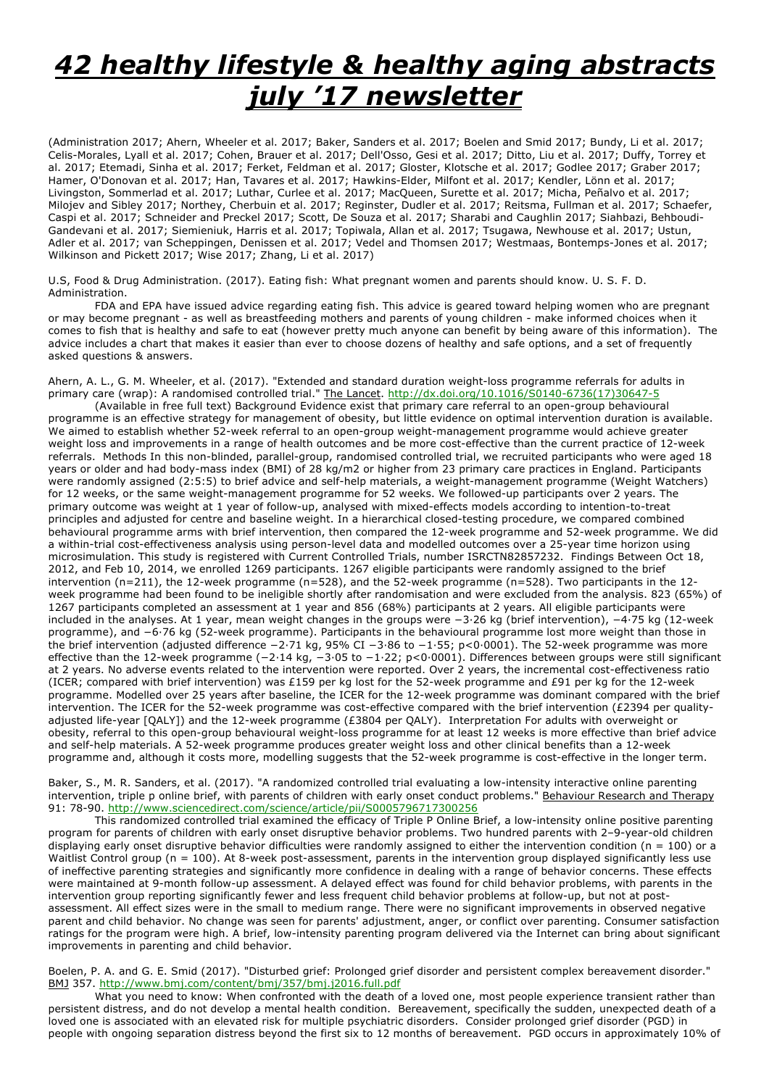# *42 healthy lifestyle & healthy aging abstracts july '17 newsletter*

(Administration 2017; Ahern, Wheeler et al. 2017; Baker, Sanders et al. 2017; Boelen and Smid 2017; Bundy, Li et al. 2017; Celis-Morales, Lyall et al. 2017; Cohen, Brauer et al. 2017; Dell'Osso, Gesi et al. 2017; Ditto, Liu et al. 2017; Duffy, Torrey et al. 2017; Etemadi, Sinha et al. 2017; Ferket, Feldman et al. 2017; Gloster, Klotsche et al. 2017; Godlee 2017; Graber 2017; Hamer, O'Donovan et al. 2017; Han, Tavares et al. 2017; Hawkins-Elder, Milfont et al. 2017; Kendler, Lönn et al. 2017; Livingston, Sommerlad et al. 2017; Luthar, Curlee et al. 2017; MacQueen, Surette et al. 2017; Micha, Peñalvo et al. 2017; Milojev and Sibley 2017; Northey, Cherbuin et al. 2017; Reginster, Dudler et al. 2017; Reitsma, Fullman et al. 2017; Schaefer, Caspi et al. 2017; Schneider and Preckel 2017; Scott, De Souza et al. 2017; Sharabi and Caughlin 2017; Siahbazi, Behboudi-Gandevani et al. 2017; Siemieniuk, Harris et al. 2017; Topiwala, Allan et al. 2017; Tsugawa, Newhouse et al. 2017; Ustun, Adler et al. 2017; van Scheppingen, Denissen et al. 2017; Vedel and Thomsen 2017; Westmaas, Bontemps-Jones et al. 2017; Wilkinson and Pickett 2017; Wise 2017; Zhang, Li et al. 2017)

U.S, Food & Drug Administration. (2017). Eating fish: What pregnant women and parents should know. U. S. F. D. Administration.

FDA and EPA have issued advice regarding eating fish. This advice is geared toward helping women who are pregnant or may become pregnant - as well as breastfeeding mothers and parents of young children - make informed choices when it comes to fish that is healthy and safe to eat (however pretty much anyone can benefit by being aware of this information). The advice includes a chart that makes it easier than ever to choose dozens of healthy and safe options, and a set of frequently asked questions & answers.

Ahern, A. L., G. M. Wheeler, et al. (2017). "Extended and standard duration weight-loss programme referrals for adults in primary care (wrap): A randomised controlled trial." The Lancet. http://dx.doi.org/10.1016/S0140-6736(17)30647-5

(Available in free full text) Background Evidence exist that primary care referral to an open-group behavioural programme is an effective strategy for management of obesity, but little evidence on optimal intervention duration is available. We aimed to establish whether 52-week referral to an open-group weight-management programme would achieve greater weight loss and improvements in a range of health outcomes and be more cost-effective than the current practice of 12-week referrals. Methods In this non-blinded, parallel-group, randomised controlled trial, we recruited participants who were aged 18 years or older and had body-mass index (BMI) of 28 kg/m2 or higher from 23 primary care practices in England. Participants were randomly assigned (2:5:5) to brief advice and self-help materials, a weight-management programme (Weight Watchers) for 12 weeks, or the same weight-management programme for 52 weeks. We followed-up participants over 2 years. The primary outcome was weight at 1 year of follow-up, analysed with mixed-effects models according to intention-to-treat principles and adjusted for centre and baseline weight. In a hierarchical closed-testing procedure, we compared combined behavioural programme arms with brief intervention, then compared the 12-week programme and 52-week programme. We did a within-trial cost-effectiveness analysis using person-level data and modelled outcomes over a 25-year time horizon using microsimulation. This study is registered with Current Controlled Trials, number ISRCTN82857232. Findings Between Oct 18, 2012, and Feb 10, 2014, we enrolled 1269 participants. 1267 eligible participants were randomly assigned to the brief intervention (n=211), the 12-week programme (n=528), and the 52-week programme (n=528). Two participants in the 12 week programme had been found to be ineligible shortly after randomisation and were excluded from the analysis. 823 (65%) of 1267 participants completed an assessment at 1 year and 856 (68%) participants at 2 years. All eligible participants were included in the analyses. At 1 year, mean weight changes in the groups were −3·26 kg (brief intervention), −4·75 kg (12-week programme), and −6·76 kg (52-week programme). Participants in the behavioural programme lost more weight than those in the brief intervention (adjusted difference −2·71 kg, 95% CI −3·86 to −1·55; p<0·0001). The 52-week programme was more effective than the 12-week programme (−2·14 kg, −3·05 to −1·22; p<0·0001). Differences between groups were still significant at 2 years. No adverse events related to the intervention were reported. Over 2 years, the incremental cost-effectiveness ratio (ICER; compared with brief intervention) was £159 per kg lost for the 52-week programme and £91 per kg for the 12-week programme. Modelled over 25 years after baseline, the ICER for the 12-week programme was dominant compared with the brief intervention. The ICER for the 52-week programme was cost-effective compared with the brief intervention (£2394 per qualityadjusted life-year [QALY]) and the 12-week programme (£3804 per QALY). Interpretation For adults with overweight or obesity, referral to this open-group behavioural weight-loss programme for at least 12 weeks is more effective than brief advice and self-help materials. A 52-week programme produces greater weight loss and other clinical benefits than a 12-week programme and, although it costs more, modelling suggests that the 52-week programme is cost-effective in the longer term.

Baker, S., M. R. Sanders, et al. (2017). "A randomized controlled trial evaluating a low-intensity interactive online parenting intervention, triple p online brief, with parents of children with early onset conduct problems." Behaviour Research and Therapy 91: 78-90. http://www.sciencedirect.com/science/article/pii/S0005796717300256

This randomized controlled trial examined the efficacy of Triple P Online Brief, a low-intensity online positive parenting program for parents of children with early onset disruptive behavior problems. Two hundred parents with 2–9-year-old children displaying early onset disruptive behavior difficulties were randomly assigned to either the intervention condition ( $n = 100$ ) or a Waitlist Control group (n = 100). At 8-week post-assessment, parents in the intervention group displayed significantly less use of ineffective parenting strategies and significantly more confidence in dealing with a range of behavior concerns. These effects were maintained at 9-month follow-up assessment. A delayed effect was found for child behavior problems, with parents in the intervention group reporting significantly fewer and less frequent child behavior problems at follow-up, but not at postassessment. All effect sizes were in the small to medium range. There were no significant improvements in observed negative parent and child behavior. No change was seen for parents' adjustment, anger, or conflict over parenting. Consumer satisfaction ratings for the program were high. A brief, low-intensity parenting program delivered via the Internet can bring about significant improvements in parenting and child behavior.

Boelen, P. A. and G. E. Smid (2017). "Disturbed grief: Prolonged grief disorder and persistent complex bereavement disorder." BMJ 357. http://www.bmj.com/content/bmj/357/bmj.j2016.full.pdf

What you need to know: When confronted with the death of a loved one, most people experience transient rather than persistent distress, and do not develop a mental health condition. Bereavement, specifically the sudden, unexpected death of a loved one is associated with an elevated risk for multiple psychiatric disorders. Consider prolonged grief disorder (PGD) in people with ongoing separation distress beyond the first six to 12 months of bereavement. PGD occurs in approximately 10% of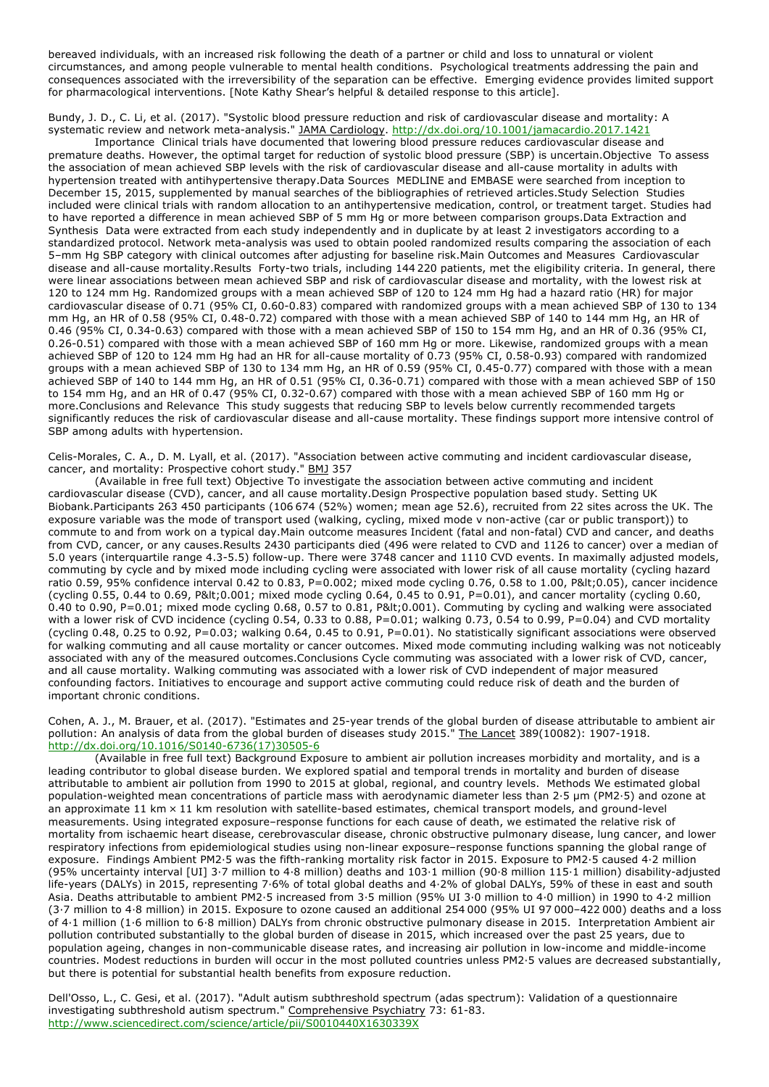bereaved individuals, with an increased risk following the death of a partner or child and loss to unnatural or violent circumstances, and among people vulnerable to mental health conditions. Psychological treatments addressing the pain and consequences associated with the irreversibility of the separation can be effective. Emerging evidence provides limited support for pharmacological interventions. [Note Kathy Shear's helpful & detailed response to this article].

Bundy, J. D., C. Li, et al. (2017). "Systolic blood pressure reduction and risk of cardiovascular disease and mortality: A systematic review and network meta-analysis." JAMA Cardiology. http://dx.doi.org/10.1001/jamacardio.2017.1421

Importance Clinical trials have documented that lowering blood pressure reduces cardiovascular disease and premature deaths. However, the optimal target for reduction of systolic blood pressure (SBP) is uncertain.Objective To assess the association of mean achieved SBP levels with the risk of cardiovascular disease and all-cause mortality in adults with hypertension treated with antihypertensive therapy.Data Sources MEDLINE and EMBASE were searched from inception to December 15, 2015, supplemented by manual searches of the bibliographies of retrieved articles.Study Selection Studies included were clinical trials with random allocation to an antihypertensive medication, control, or treatment target. Studies had to have reported a difference in mean achieved SBP of 5 mm Hg or more between comparison groups.Data Extraction and Synthesis Data were extracted from each study independently and in duplicate by at least 2 investigators according to a standardized protocol. Network meta-analysis was used to obtain pooled randomized results comparing the association of each 5–mm Hg SBP category with clinical outcomes after adjusting for baseline risk.Main Outcomes and Measures Cardiovascular disease and all-cause mortality.Results Forty-two trials, including 144 220 patients, met the eligibility criteria. In general, there were linear associations between mean achieved SBP and risk of cardiovascular disease and mortality, with the lowest risk at 120 to 124 mm Hg. Randomized groups with a mean achieved SBP of 120 to 124 mm Hg had a hazard ratio (HR) for major cardiovascular disease of 0.71 (95% CI, 0.60-0.83) compared with randomized groups with a mean achieved SBP of 130 to 134 mm Hg, an HR of 0.58 (95% CI, 0.48-0.72) compared with those with a mean achieved SBP of 140 to 144 mm Hg, an HR of 0.46 (95% CI, 0.34-0.63) compared with those with a mean achieved SBP of 150 to 154 mm Hg, and an HR of 0.36 (95% CI, 0.26-0.51) compared with those with a mean achieved SBP of 160 mm Hg or more. Likewise, randomized groups with a mean achieved SBP of 120 to 124 mm Hg had an HR for all-cause mortality of 0.73 (95% CI, 0.58-0.93) compared with randomized groups with a mean achieved SBP of 130 to 134 mm Hg, an HR of 0.59 (95% CI, 0.45-0.77) compared with those with a mean achieved SBP of 140 to 144 mm Hg, an HR of 0.51 (95% CI, 0.36-0.71) compared with those with a mean achieved SBP of 150 to 154 mm Hg, and an HR of 0.47 (95% CI, 0.32-0.67) compared with those with a mean achieved SBP of 160 mm Hg or more.Conclusions and Relevance This study suggests that reducing SBP to levels below currently recommended targets significantly reduces the risk of cardiovascular disease and all-cause mortality. These findings support more intensive control of SBP among adults with hypertension.

Celis-Morales, C. A., D. M. Lyall, et al. (2017). "Association between active commuting and incident cardiovascular disease, cancer, and mortality: Prospective cohort study." BMJ 357

(Available in free full text) Objective To investigate the association between active commuting and incident cardiovascular disease (CVD), cancer, and all cause mortality.Design Prospective population based study. Setting UK Biobank.Participants 263 450 participants (106 674 (52%) women; mean age 52.6), recruited from 22 sites across the UK. The exposure variable was the mode of transport used (walking, cycling, mixed mode v non-active (car or public transport)) to commute to and from work on a typical day.Main outcome measures Incident (fatal and non-fatal) CVD and cancer, and deaths from CVD, cancer, or any causes.Results 2430 participants died (496 were related to CVD and 1126 to cancer) over a median of 5.0 years (interquartile range 4.3-5.5) follow-up. There were 3748 cancer and 1110 CVD events. In maximally adjusted models, commuting by cycle and by mixed mode including cycling were associated with lower risk of all cause mortality (cycling hazard ratio 0.59, 95% confidence interval 0.42 to 0.83, P=0.002; mixed mode cycling 0.76, 0.58 to 1.00, P<0.05), cancer incidence (cycling 0.55, 0.44 to 0.69, P< 0.001; mixed mode cycling 0.64, 0.45 to 0.91, P=0.01), and cancer mortality (cycling 0.60,  $0.40$  to  $0.90$ , P=0.01; mixed mode cycling  $0.68$ ,  $0.57$  to  $0.81$ , P< $0.001$ ). Commuting by cycling and walking were associated with a lower risk of CVD incidence (cycling 0.54, 0.33 to 0.88, P=0.01; walking 0.73, 0.54 to 0.99, P=0.04) and CVD mortality (cycling 0.48, 0.25 to 0.92, P=0.03; walking 0.64, 0.45 to 0.91, P=0.01). No statistically significant associations were observed for walking commuting and all cause mortality or cancer outcomes. Mixed mode commuting including walking was not noticeably associated with any of the measured outcomes.Conclusions Cycle commuting was associated with a lower risk of CVD, cancer, and all cause mortality. Walking commuting was associated with a lower risk of CVD independent of major measured confounding factors. Initiatives to encourage and support active commuting could reduce risk of death and the burden of important chronic conditions.

Cohen, A. J., M. Brauer, et al. (2017). "Estimates and 25-year trends of the global burden of disease attributable to ambient air pollution: An analysis of data from the global burden of diseases study 2015." The Lancet 389(10082): 1907-1918. http://dx.doi.org/10.1016/S0140-6736(17)30505-6

(Available in free full text) Background Exposure to ambient air pollution increases morbidity and mortality, and is a leading contributor to global disease burden. We explored spatial and temporal trends in mortality and burden of disease attributable to ambient air pollution from 1990 to 2015 at global, regional, and country levels. Methods We estimated global population-weighted mean concentrations of particle mass with aerodynamic diameter less than 2·5 µm (PM2·5) and ozone at an approximate 11 km  $\times$  11 km resolution with satellite-based estimates, chemical transport models, and ground-level measurements. Using integrated exposure–response functions for each cause of death, we estimated the relative risk of mortality from ischaemic heart disease, cerebrovascular disease, chronic obstructive pulmonary disease, lung cancer, and lower respiratory infections from epidemiological studies using non-linear exposure–response functions spanning the global range of exposure. Findings Ambient PM2·5 was the fifth-ranking mortality risk factor in 2015. Exposure to PM2·5 caused 4·2 million (95% uncertainty interval [UI] 3·7 million to 4·8 million) deaths and 103·1 million (90·8 million 115·1 million) disability-adjusted life-years (DALYs) in 2015, representing 7·6% of total global deaths and 4·2% of global DALYs, 59% of these in east and south Asia. Deaths attributable to ambient PM2·5 increased from 3·5 million (95% UI 3·0 million to 4·0 million) in 1990 to 4·2 million (3·7 million to 4·8 million) in 2015. Exposure to ozone caused an additional 254 000 (95% UI 97 000–422 000) deaths and a loss of 4·1 million (1·6 million to 6·8 million) DALYs from chronic obstructive pulmonary disease in 2015. Interpretation Ambient air pollution contributed substantially to the global burden of disease in 2015, which increased over the past 25 years, due to population ageing, changes in non-communicable disease rates, and increasing air pollution in low-income and middle-income countries. Modest reductions in burden will occur in the most polluted countries unless PM2·5 values are decreased substantially, but there is potential for substantial health benefits from exposure reduction.

Dell'Osso, L., C. Gesi, et al. (2017). "Adult autism subthreshold spectrum (adas spectrum): Validation of a questionnaire investigating subthreshold autism spectrum." Comprehensive Psychiatry 73: 61-83. http://www.sciencedirect.com/science/article/pii/S0010440X1630339X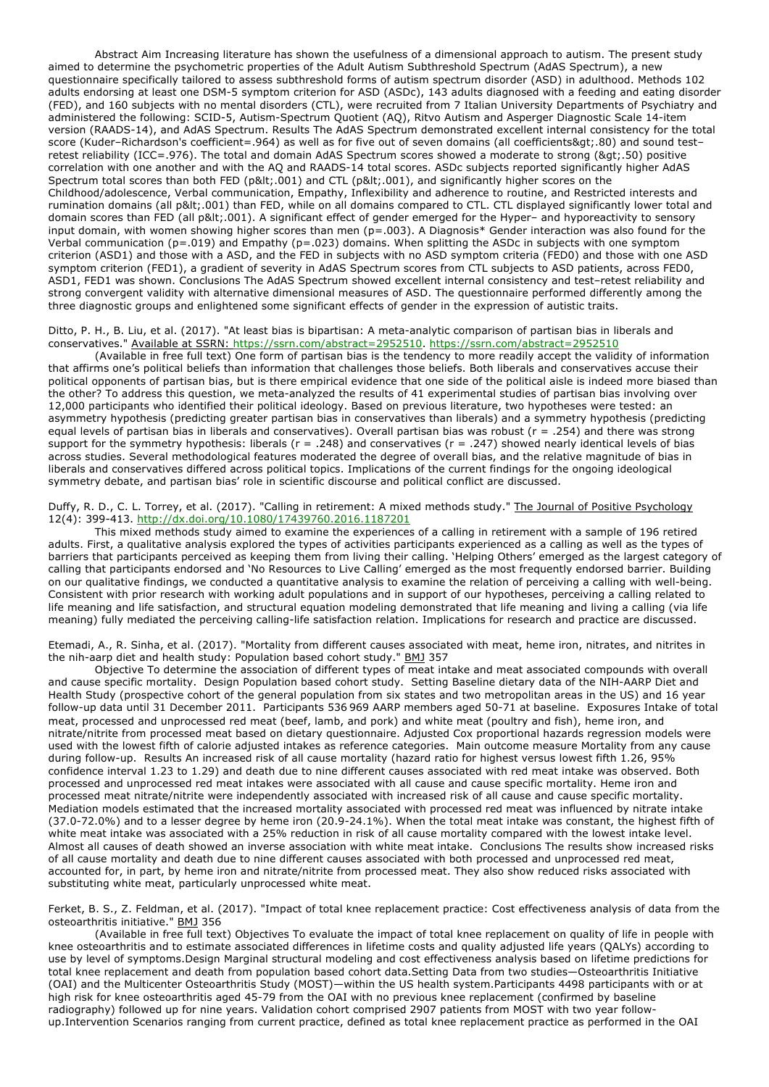Abstract Aim Increasing literature has shown the usefulness of a dimensional approach to autism. The present study aimed to determine the psychometric properties of the Adult Autism Subthreshold Spectrum (AdAS Spectrum), a new questionnaire specifically tailored to assess subthreshold forms of autism spectrum disorder (ASD) in adulthood. Methods 102 adults endorsing at least one DSM-5 symptom criterion for ASD (ASDc), 143 adults diagnosed with a feeding and eating disorder (FED), and 160 subjects with no mental disorders (CTL), were recruited from 7 Italian University Departments of Psychiatry and administered the following: SCID-5, Autism-Spectrum Quotient (AQ), Ritvo Autism and Asperger Diagnostic Scale 14-item version (RAADS-14), and AdAS Spectrum. Results The AdAS Spectrum demonstrated excellent internal consistency for the total score (Kuder-Richardson's coefficient=.964) as well as for five out of seven domains (all coefficients>.80) and sound testretest reliability (ICC=.976). The total and domain AdAS Spectrum scores showed a moderate to strong (>.50) positive correlation with one another and with the AQ and RAADS-14 total scores. ASDc subjects reported significantly higher AdAS Spectrum total scores than both FED (p< 001) and CTL (p&lt; 001), and significantly higher scores on the Childhood/adolescence, Verbal communication, Empathy, Inflexibility and adherence to routine, and Restricted interests and rumination domains (all p<.001) than FED, while on all domains compared to CTL. CTL displayed significantly lower total and domain scores than FED (all p< 001). A significant effect of gender emerged for the Hyper- and hyporeactivity to sensory input domain, with women showing higher scores than men ( $p=0.003$ ). A Diagnosis\* Gender interaction was also found for the Verbal communication (p=.019) and Empathy (p=.023) domains. When splitting the ASDc in subjects with one symptom criterion (ASD1) and those with a ASD, and the FED in subjects with no ASD symptom criteria (FED0) and those with one ASD symptom criterion (FED1), a gradient of severity in AdAS Spectrum scores from CTL subjects to ASD patients, across FED0, ASD1, FED1 was shown. Conclusions The AdAS Spectrum showed excellent internal consistency and test–retest reliability and strong convergent validity with alternative dimensional measures of ASD. The questionnaire performed differently among the three diagnostic groups and enlightened some significant effects of gender in the expression of autistic traits.

### Ditto, P. H., B. Liu, et al. (2017). "At least bias is bipartisan: A meta-analytic comparison of partisan bias in liberals and conservatives." Available at SSRN: https://ssrn.com/abstract=2952510. https://ssrn.com/abstract=2952510

(Available in free full text) One form of partisan bias is the tendency to more readily accept the validity of information that affirms one's political beliefs than information that challenges those beliefs. Both liberals and conservatives accuse their political opponents of partisan bias, but is there empirical evidence that one side of the political aisle is indeed more biased than the other? To address this question, we meta-analyzed the results of 41 experimental studies of partisan bias involving over 12,000 participants who identified their political ideology. Based on previous literature, two hypotheses were tested: an asymmetry hypothesis (predicting greater partisan bias in conservatives than liberals) and a symmetry hypothesis (predicting equal levels of partisan bias in liberals and conservatives). Overall partisan bias was robust (r = .254) and there was strong support for the symmetry hypothesis: liberals ( $r = .248$ ) and conservatives ( $r = .247$ ) showed nearly identical levels of bias across studies. Several methodological features moderated the degree of overall bias, and the relative magnitude of bias in liberals and conservatives differed across political topics. Implications of the current findings for the ongoing ideological symmetry debate, and partisan bias' role in scientific discourse and political conflict are discussed.

## Duffy, R. D., C. L. Torrey, et al. (2017). "Calling in retirement: A mixed methods study." The Journal of Positive Psychology 12(4): 399-413. http://dx.doi.org/10.1080/17439760.2016.1187201

This mixed methods study aimed to examine the experiences of a calling in retirement with a sample of 196 retired adults. First, a qualitative analysis explored the types of activities participants experienced as a calling as well as the types of barriers that participants perceived as keeping them from living their calling. 'Helping Others' emerged as the largest category of calling that participants endorsed and 'No Resources to Live Calling' emerged as the most frequently endorsed barrier. Building on our qualitative findings, we conducted a quantitative analysis to examine the relation of perceiving a calling with well-being. Consistent with prior research with working adult populations and in support of our hypotheses, perceiving a calling related to life meaning and life satisfaction, and structural equation modeling demonstrated that life meaning and living a calling (via life meaning) fully mediated the perceiving calling-life satisfaction relation. Implications for research and practice are discussed.

Etemadi, A., R. Sinha, et al. (2017). "Mortality from different causes associated with meat, heme iron, nitrates, and nitrites in the nih-aarp diet and health study: Population based cohort study." BMJ 357

Objective To determine the association of different types of meat intake and meat associated compounds with overall and cause specific mortality. Design Population based cohort study. Setting Baseline dietary data of the NIH-AARP Diet and Health Study (prospective cohort of the general population from six states and two metropolitan areas in the US) and 16 year follow-up data until 31 December 2011. Participants 536 969 AARP members aged 50-71 at baseline. Exposures Intake of total meat, processed and unprocessed red meat (beef, lamb, and pork) and white meat (poultry and fish), heme iron, and nitrate/nitrite from processed meat based on dietary questionnaire. Adjusted Cox proportional hazards regression models were used with the lowest fifth of calorie adjusted intakes as reference categories. Main outcome measure Mortality from any cause during follow-up. Results An increased risk of all cause mortality (hazard ratio for highest versus lowest fifth 1.26, 95% confidence interval 1.23 to 1.29) and death due to nine different causes associated with red meat intake was observed. Both processed and unprocessed red meat intakes were associated with all cause and cause specific mortality. Heme iron and processed meat nitrate/nitrite were independently associated with increased risk of all cause and cause specific mortality. Mediation models estimated that the increased mortality associated with processed red meat was influenced by nitrate intake (37.0-72.0%) and to a lesser degree by heme iron (20.9-24.1%). When the total meat intake was constant, the highest fifth of white meat intake was associated with a 25% reduction in risk of all cause mortality compared with the lowest intake level. Almost all causes of death showed an inverse association with white meat intake. Conclusions The results show increased risks of all cause mortality and death due to nine different causes associated with both processed and unprocessed red meat, accounted for, in part, by heme iron and nitrate/nitrite from processed meat. They also show reduced risks associated with substituting white meat, particularly unprocessed white meat.

Ferket, B. S., Z. Feldman, et al. (2017). "Impact of total knee replacement practice: Cost effectiveness analysis of data from the osteoarthritis initiative." BMJ 356

(Available in free full text) Objectives To evaluate the impact of total knee replacement on quality of life in people with knee osteoarthritis and to estimate associated differences in lifetime costs and quality adjusted life years (QALYs) according to use by level of symptoms.Design Marginal structural modeling and cost effectiveness analysis based on lifetime predictions for total knee replacement and death from population based cohort data.Setting Data from two studies—Osteoarthritis Initiative (OAI) and the Multicenter Osteoarthritis Study (MOST)—within the US health system.Participants 4498 participants with or at high risk for knee osteoarthritis aged 45-79 from the OAI with no previous knee replacement (confirmed by baseline radiography) followed up for nine years. Validation cohort comprised 2907 patients from MOST with two year followup.Intervention Scenarios ranging from current practice, defined as total knee replacement practice as performed in the OAI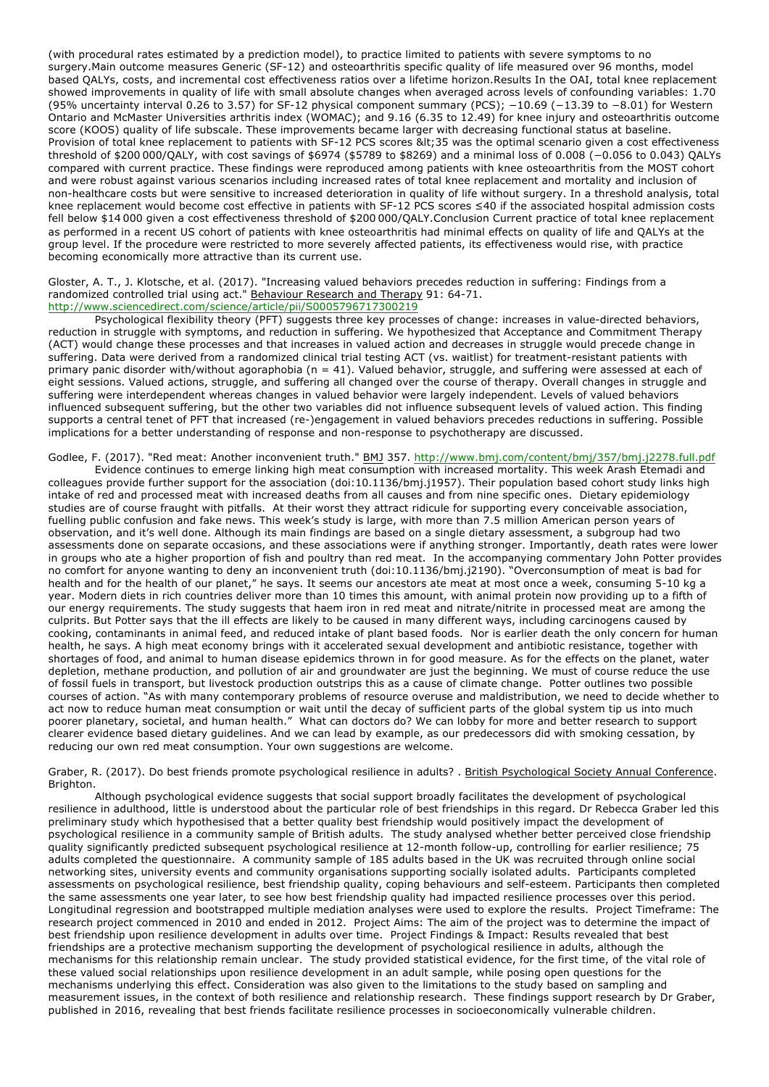(with procedural rates estimated by a prediction model), to practice limited to patients with severe symptoms to no surgery.Main outcome measures Generic (SF-12) and osteoarthritis specific quality of life measured over 96 months, model based QALYs, costs, and incremental cost effectiveness ratios over a lifetime horizon.Results In the OAI, total knee replacement showed improvements in quality of life with small absolute changes when averaged across levels of confounding variables: 1.70 (95% uncertainty interval 0.26 to 3.57) for SF-12 physical component summary (PCS); −10.69 (−13.39 to −8.01) for Western Ontario and McMaster Universities arthritis index (WOMAC); and 9.16 (6.35 to 12.49) for knee injury and osteoarthritis outcome score (KOOS) quality of life subscale. These improvements became larger with decreasing functional status at baseline. Provision of total knee replacement to patients with SF-12 PCS scores &It;35 was the optimal scenario given a cost effectiveness threshold of \$200 000/QALY, with cost savings of \$6974 (\$5789 to \$8269) and a minimal loss of 0.008 (−0.056 to 0.043) QALYs compared with current practice. These findings were reproduced among patients with knee osteoarthritis from the MOST cohort and were robust against various scenarios including increased rates of total knee replacement and mortality and inclusion of non-healthcare costs but were sensitive to increased deterioration in quality of life without surgery. In a threshold analysis, total knee replacement would become cost effective in patients with SF-12 PCS scores ≤40 if the associated hospital admission costs fell below \$14 000 given a cost effectiveness threshold of \$200 000/QALY.Conclusion Current practice of total knee replacement as performed in a recent US cohort of patients with knee osteoarthritis had minimal effects on quality of life and QALYs at the group level. If the procedure were restricted to more severely affected patients, its effectiveness would rise, with practice becoming economically more attractive than its current use.

#### Gloster, A. T., J. Klotsche, et al. (2017). "Increasing valued behaviors precedes reduction in suffering: Findings from a randomized controlled trial using act." Behaviour Research and Therapy 91: 64-71. http://www.sciencedirect.com/science/article/pii/S0005796717300219

Psychological flexibility theory (PFT) suggests three key processes of change: increases in value-directed behaviors, reduction in struggle with symptoms, and reduction in suffering. We hypothesized that Acceptance and Commitment Therapy (ACT) would change these processes and that increases in valued action and decreases in struggle would precede change in suffering. Data were derived from a randomized clinical trial testing ACT (vs. waitlist) for treatment-resistant patients with primary panic disorder with/without agoraphobia ( $n = 41$ ). Valued behavior, struggle, and suffering were assessed at each of eight sessions. Valued actions, struggle, and suffering all changed over the course of therapy. Overall changes in struggle and suffering were interdependent whereas changes in valued behavior were largely independent. Levels of valued behaviors influenced subsequent suffering, but the other two variables did not influence subsequent levels of valued action. This finding supports a central tenet of PFT that increased (re-)engagement in valued behaviors precedes reductions in suffering. Possible implications for a better understanding of response and non-response to psychotherapy are discussed.

# Godlee, F. (2017). "Red meat: Another inconvenient truth." BMJ 357. http://www.bmj.com/content/bmj/357/bmj.j2278.full.pdf

Evidence continues to emerge linking high meat consumption with increased mortality. This week Arash Etemadi and colleagues provide further support for the association (doi:10.1136/bmj.j1957). Their population based cohort study links high intake of red and processed meat with increased deaths from all causes and from nine specific ones. Dietary epidemiology studies are of course fraught with pitfalls. At their worst they attract ridicule for supporting every conceivable association, fuelling public confusion and fake news. This week's study is large, with more than 7.5 million American person years of observation, and it's well done. Although its main findings are based on a single dietary assessment, a subgroup had two assessments done on separate occasions, and these associations were if anything stronger. Importantly, death rates were lower in groups who ate a higher proportion of fish and poultry than red meat. In the accompanying commentary John Potter provides no comfort for anyone wanting to deny an inconvenient truth (doi:10.1136/bmj.j2190). "Overconsumption of meat is bad for health and for the health of our planet," he says. It seems our ancestors ate meat at most once a week, consuming 5-10 kg a year. Modern diets in rich countries deliver more than 10 times this amount, with animal protein now providing up to a fifth of our energy requirements. The study suggests that haem iron in red meat and nitrate/nitrite in processed meat are among the culprits. But Potter says that the ill effects are likely to be caused in many different ways, including carcinogens caused by cooking, contaminants in animal feed, and reduced intake of plant based foods. Nor is earlier death the only concern for human health, he says. A high meat economy brings with it accelerated sexual development and antibiotic resistance, together with shortages of food, and animal to human disease epidemics thrown in for good measure. As for the effects on the planet, water depletion, methane production, and pollution of air and groundwater are just the beginning. We must of course reduce the use of fossil fuels in transport, but livestock production outstrips this as a cause of climate change. Potter outlines two possible courses of action. "As with many contemporary problems of resource overuse and maldistribution, we need to decide whether to act now to reduce human meat consumption or wait until the decay of sufficient parts of the global system tip us into much poorer planetary, societal, and human health." What can doctors do? We can lobby for more and better research to support clearer evidence based dietary guidelines. And we can lead by example, as our predecessors did with smoking cessation, by reducing our own red meat consumption. Your own suggestions are welcome.

#### Graber, R. (2017). Do best friends promote psychological resilience in adults? . British Psychological Society Annual Conference. Brighton.

Although psychological evidence suggests that social support broadly facilitates the development of psychological resilience in adulthood, little is understood about the particular role of best friendships in this regard. Dr Rebecca Graber led this preliminary study which hypothesised that a better quality best friendship would positively impact the development of psychological resilience in a community sample of British adults. The study analysed whether better perceived close friendship quality significantly predicted subsequent psychological resilience at 12-month follow-up, controlling for earlier resilience; 75 adults completed the questionnaire. A community sample of 185 adults based in the UK was recruited through online social networking sites, university events and community organisations supporting socially isolated adults. Participants completed assessments on psychological resilience, best friendship quality, coping behaviours and self-esteem. Participants then completed the same assessments one year later, to see how best friendship quality had impacted resilience processes over this period. Longitudinal regression and bootstrapped multiple mediation analyses were used to explore the results. Project Timeframe: The research project commenced in 2010 and ended in 2012. Project Aims: The aim of the project was to determine the impact of best friendship upon resilience development in adults over time. Project Findings & Impact: Results revealed that best friendships are a protective mechanism supporting the development of psychological resilience in adults, although the mechanisms for this relationship remain unclear. The study provided statistical evidence, for the first time, of the vital role of these valued social relationships upon resilience development in an adult sample, while posing open questions for the mechanisms underlying this effect. Consideration was also given to the limitations to the study based on sampling and measurement issues, in the context of both resilience and relationship research. These findings support research by Dr Graber, published in 2016, revealing that best friends facilitate resilience processes in socioeconomically vulnerable children.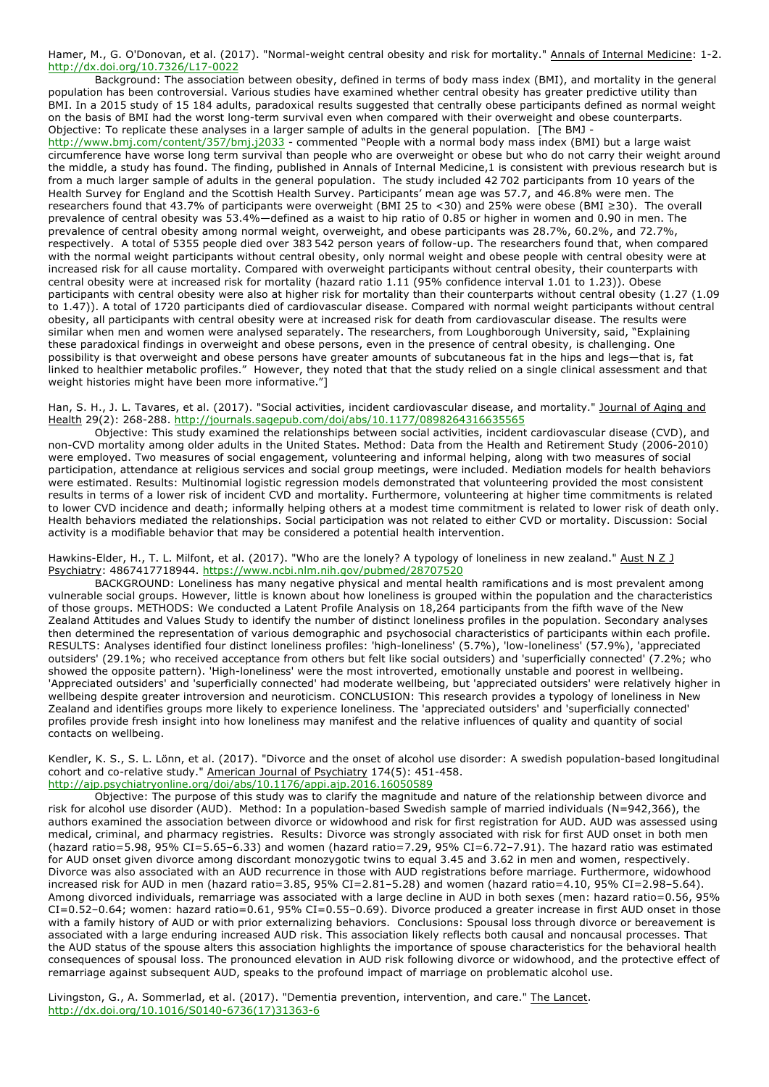Hamer, M., G. O'Donovan, et al. (2017). "Normal-weight central obesity and risk for mortality." Annals of Internal Medicine: 1-2. http://dx.doi.org/10.7326/L17-0022

Background: The association between obesity, defined in terms of body mass index (BMI), and mortality in the general population has been controversial. Various studies have examined whether central obesity has greater predictive utility than BMI. In a 2015 study of 15 184 adults, paradoxical results suggested that centrally obese participants defined as normal weight on the basis of BMI had the worst long-term survival even when compared with their overweight and obese counterparts. Objective: To replicate these analyses in a larger sample of adults in the general population. [The BMJ -

http://www.bmj.com/content/357/bmj.j2033 - commented "People with a normal body mass index (BMI) but a large waist circumference have worse long term survival than people who are overweight or obese but who do not carry their weight around the middle, a study has found. The finding, published in Annals of Internal Medicine,1 is consistent with previous research but is from a much larger sample of adults in the general population. The study included 42 702 participants from 10 years of the Health Survey for England and the Scottish Health Survey. Participants' mean age was 57.7, and 46.8% were men. The researchers found that 43.7% of participants were overweight (BMI 25 to <30) and 25% were obese (BMI ≥30). The overall prevalence of central obesity was 53.4%—defined as a waist to hip ratio of 0.85 or higher in women and 0.90 in men. The prevalence of central obesity among normal weight, overweight, and obese participants was 28.7%, 60.2%, and 72.7%, respectively. A total of 5355 people died over 383 542 person years of follow-up. The researchers found that, when compared with the normal weight participants without central obesity, only normal weight and obese people with central obesity were at increased risk for all cause mortality. Compared with overweight participants without central obesity, their counterparts with central obesity were at increased risk for mortality (hazard ratio 1.11 (95% confidence interval 1.01 to 1.23)). Obese participants with central obesity were also at higher risk for mortality than their counterparts without central obesity (1.27 (1.09 to 1.47)). A total of 1720 participants died of cardiovascular disease. Compared with normal weight participants without central obesity, all participants with central obesity were at increased risk for death from cardiovascular disease. The results were similar when men and women were analysed separately. The researchers, from Loughborough University, said, "Explaining these paradoxical findings in overweight and obese persons, even in the presence of central obesity, is challenging. One possibility is that overweight and obese persons have greater amounts of subcutaneous fat in the hips and legs—that is, fat linked to healthier metabolic profiles." However, they noted that that the study relied on a single clinical assessment and that weight histories might have been more informative."]

## Han, S. H., J. L. Tavares, et al. (2017). "Social activities, incident cardiovascular disease, and mortality." Journal of Aging and Health 29(2): 268-288. http://journals.sagepub.com/doi/abs/10.1177/0898264316635565

Objective: This study examined the relationships between social activities, incident cardiovascular disease (CVD), and non-CVD mortality among older adults in the United States. Method: Data from the Health and Retirement Study (2006-2010) were employed. Two measures of social engagement, volunteering and informal helping, along with two measures of social participation, attendance at religious services and social group meetings, were included. Mediation models for health behaviors were estimated. Results: Multinomial logistic regression models demonstrated that volunteering provided the most consistent results in terms of a lower risk of incident CVD and mortality. Furthermore, volunteering at higher time commitments is related to lower CVD incidence and death; informally helping others at a modest time commitment is related to lower risk of death only. Health behaviors mediated the relationships. Social participation was not related to either CVD or mortality. Discussion: Social activity is a modifiable behavior that may be considered a potential health intervention.

Hawkins-Elder, H., T. L. Milfont, et al. (2017). "Who are the lonely? A typology of loneliness in new zealand." Aust N Z J Psychiatry: 4867417718944. https://www.ncbi.nlm.nih.gov/pubmed/28707520

BACKGROUND: Loneliness has many negative physical and mental health ramifications and is most prevalent among vulnerable social groups. However, little is known about how loneliness is grouped within the population and the characteristics of those groups. METHODS: We conducted a Latent Profile Analysis on 18,264 participants from the fifth wave of the New Zealand Attitudes and Values Study to identify the number of distinct loneliness profiles in the population. Secondary analyses then determined the representation of various demographic and psychosocial characteristics of participants within each profile. RESULTS: Analyses identified four distinct loneliness profiles: 'high-loneliness' (5.7%), 'low-loneliness' (57.9%), 'appreciated outsiders' (29.1%; who received acceptance from others but felt like social outsiders) and 'superficially connected' (7.2%; who showed the opposite pattern). 'High-loneliness' were the most introverted, emotionally unstable and poorest in wellbeing. 'Appreciated outsiders' and 'superficially connected' had moderate wellbeing, but 'appreciated outsiders' were relatively higher in wellbeing despite greater introversion and neuroticism. CONCLUSION: This research provides a typology of loneliness in New Zealand and identifies groups more likely to experience loneliness. The 'appreciated outsiders' and 'superficially connected' profiles provide fresh insight into how loneliness may manifest and the relative influences of quality and quantity of social contacts on wellbeing.

Kendler, K. S., S. L. Lönn, et al. (2017). "Divorce and the onset of alcohol use disorder: A swedish population-based longitudinal cohort and co-relative study." American Journal of Psychiatry 174(5): 451-458. http://ajp.psychiatryonline.org/doi/abs/10.1176/appi.ajp.2016.16050589

Objective: The purpose of this study was to clarify the magnitude and nature of the relationship between divorce and risk for alcohol use disorder (AUD). Method: In a population-based Swedish sample of married individuals (N=942,366), the authors examined the association between divorce or widowhood and risk for first registration for AUD. AUD was assessed using medical, criminal, and pharmacy registries. Results: Divorce was strongly associated with risk for first AUD onset in both men (hazard ratio=5.98, 95% CI=5.65–6.33) and women (hazard ratio=7.29, 95% CI=6.72–7.91). The hazard ratio was estimated for AUD onset given divorce among discordant monozygotic twins to equal 3.45 and 3.62 in men and women, respectively. Divorce was also associated with an AUD recurrence in those with AUD registrations before marriage. Furthermore, widowhood increased risk for AUD in men (hazard ratio=3.85, 95% CI=2.81–5.28) and women (hazard ratio=4.10, 95% CI=2.98–5.64). Among divorced individuals, remarriage was associated with a large decline in AUD in both sexes (men: hazard ratio=0.56, 95% CI=0.52–0.64; women: hazard ratio=0.61, 95% CI=0.55–0.69). Divorce produced a greater increase in first AUD onset in those with a family history of AUD or with prior externalizing behaviors. Conclusions: Spousal loss through divorce or bereavement is associated with a large enduring increased AUD risk. This association likely reflects both causal and noncausal processes. That the AUD status of the spouse alters this association highlights the importance of spouse characteristics for the behavioral health consequences of spousal loss. The pronounced elevation in AUD risk following divorce or widowhood, and the protective effect of remarriage against subsequent AUD, speaks to the profound impact of marriage on problematic alcohol use.

Livingston, G., A. Sommerlad, et al. (2017). "Dementia prevention, intervention, and care." The Lancet. http://dx.doi.org/10.1016/S0140-6736(17)31363-6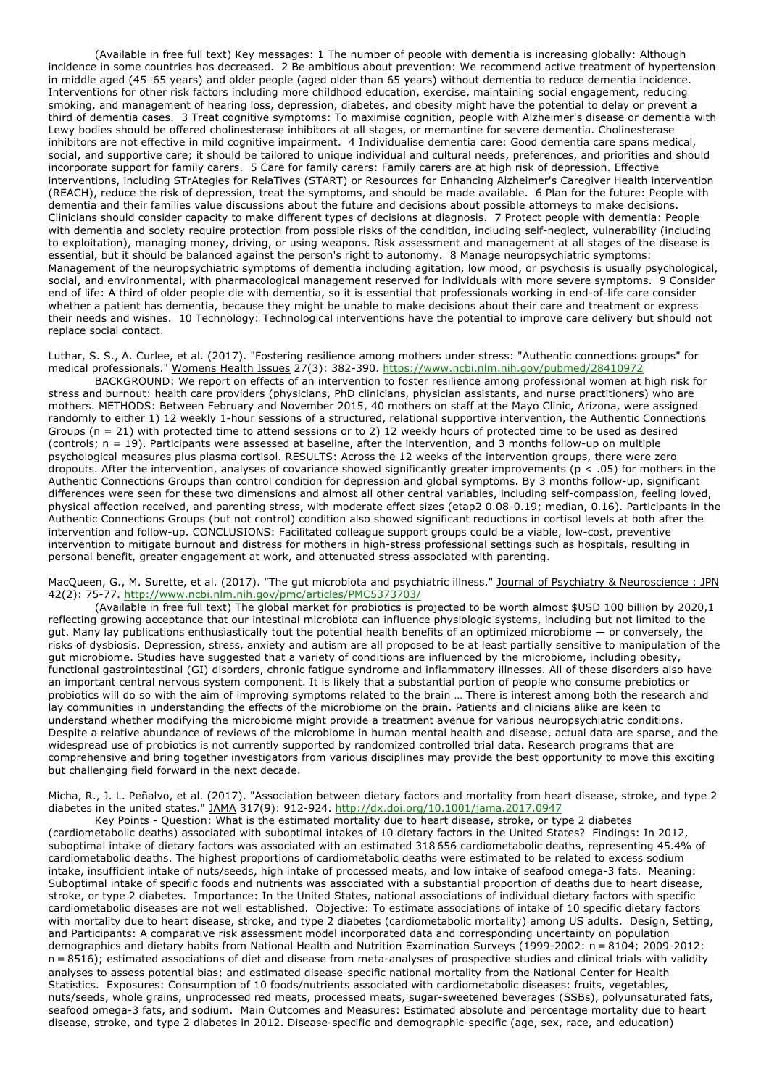(Available in free full text) Key messages: 1 The number of people with dementia is increasing globally: Although incidence in some countries has decreased. 2 Be ambitious about prevention: We recommend active treatment of hypertension in middle aged (45–65 years) and older people (aged older than 65 years) without dementia to reduce dementia incidence. Interventions for other risk factors including more childhood education, exercise, maintaining social engagement, reducing smoking, and management of hearing loss, depression, diabetes, and obesity might have the potential to delay or prevent a third of dementia cases. 3 Treat cognitive symptoms: To maximise cognition, people with Alzheimer's disease or dementia with Lewy bodies should be offered cholinesterase inhibitors at all stages, or memantine for severe dementia. Cholinesterase inhibitors are not effective in mild cognitive impairment. 4 Individualise dementia care: Good dementia care spans medical, social, and supportive care; it should be tailored to unique individual and cultural needs, preferences, and priorities and should incorporate support for family carers. 5 Care for family carers: Family carers are at high risk of depression. Effective interventions, including STrAtegies for RelaTives (START) or Resources for Enhancing Alzheimer's Caregiver Health intervention (REACH), reduce the risk of depression, treat the symptoms, and should be made available. 6 Plan for the future: People with dementia and their families value discussions about the future and decisions about possible attorneys to make decisions. Clinicians should consider capacity to make different types of decisions at diagnosis. 7 Protect people with dementia: People with dementia and society require protection from possible risks of the condition, including self-neglect, vulnerability (including to exploitation), managing money, driving, or using weapons. Risk assessment and management at all stages of the disease is essential, but it should be balanced against the person's right to autonomy. 8 Manage neuropsychiatric symptoms: Management of the neuropsychiatric symptoms of dementia including agitation, low mood, or psychosis is usually psychological, social, and environmental, with pharmacological management reserved for individuals with more severe symptoms. 9 Consider end of life: A third of older people die with dementia, so it is essential that professionals working in end-of-life care consider whether a patient has dementia, because they might be unable to make decisions about their care and treatment or express their needs and wishes. 10 Technology: Technological interventions have the potential to improve care delivery but should not replace social contact.

Luthar, S. S., A. Curlee, et al. (2017). "Fostering resilience among mothers under stress: "Authentic connections groups" for medical professionals." Womens Health Issues 27(3): 382-390. https://www.ncbi.nlm.nih.gov/pubmed/28410972

BACKGROUND: We report on effects of an intervention to foster resilience among professional women at high risk for stress and burnout: health care providers (physicians, PhD clinicians, physician assistants, and nurse practitioners) who are mothers. METHODS: Between February and November 2015, 40 mothers on staff at the Mayo Clinic, Arizona, were assigned randomly to either 1) 12 weekly 1-hour sessions of a structured, relational supportive intervention, the Authentic Connections Groups (n = 21) with protected time to attend sessions or to 2) 12 weekly hours of protected time to be used as desired (controls; n = 19). Participants were assessed at baseline, after the intervention, and 3 months follow-up on multiple psychological measures plus plasma cortisol. RESULTS: Across the 12 weeks of the intervention groups, there were zero dropouts. After the intervention, analyses of covariance showed significantly greater improvements (p < .05) for mothers in the Authentic Connections Groups than control condition for depression and global symptoms. By 3 months follow-up, significant differences were seen for these two dimensions and almost all other central variables, including self-compassion, feeling loved, physical affection received, and parenting stress, with moderate effect sizes (etap2 0.08-0.19; median, 0.16). Participants in the Authentic Connections Groups (but not control) condition also showed significant reductions in cortisol levels at both after the intervention and follow-up. CONCLUSIONS: Facilitated colleague support groups could be a viable, low-cost, preventive intervention to mitigate burnout and distress for mothers in high-stress professional settings such as hospitals, resulting in personal benefit, greater engagement at work, and attenuated stress associated with parenting.

#### MacQueen, G., M. Surette, et al. (2017). "The gut microbiota and psychiatric illness." Journal of Psychiatry & Neuroscience : JPN 42(2): 75-77. http://www.ncbi.nlm.nih.gov/pmc/articles/PMC5373703/

(Available in free full text) The global market for probiotics is projected to be worth almost \$USD 100 billion by 2020,1 reflecting growing acceptance that our intestinal microbiota can influence physiologic systems, including but not limited to the gut. Many lay publications enthusiastically tout the potential health benefits of an optimized microbiome — or conversely, the risks of dysbiosis. Depression, stress, anxiety and autism are all proposed to be at least partially sensitive to manipulation of the gut microbiome. Studies have suggested that a variety of conditions are influenced by the microbiome, including obesity, functional gastrointestinal (GI) disorders, chronic fatigue syndrome and inflammatory illnesses. All of these disorders also have an important central nervous system component. It is likely that a substantial portion of people who consume prebiotics or probiotics will do so with the aim of improving symptoms related to the brain … There is interest among both the research and lay communities in understanding the effects of the microbiome on the brain. Patients and clinicians alike are keen to understand whether modifying the microbiome might provide a treatment avenue for various neuropsychiatric conditions. Despite a relative abundance of reviews of the microbiome in human mental health and disease, actual data are sparse, and the widespread use of probiotics is not currently supported by randomized controlled trial data. Research programs that are comprehensive and bring together investigators from various disciplines may provide the best opportunity to move this exciting but challenging field forward in the next decade.

Micha, R., J. L. Peñalvo, et al. (2017). "Association between dietary factors and mortality from heart disease, stroke, and type 2 diabetes in the united states." JAMA 317(9): 912-924. http://dx.doi.org/10.1001/jama.2017.0947

Key Points - Question: What is the estimated mortality due to heart disease, stroke, or type 2 diabetes (cardiometabolic deaths) associated with suboptimal intakes of 10 dietary factors in the United States? Findings: In 2012, suboptimal intake of dietary factors was associated with an estimated 318 656 cardiometabolic deaths, representing 45.4% of cardiometabolic deaths. The highest proportions of cardiometabolic deaths were estimated to be related to excess sodium intake, insufficient intake of nuts/seeds, high intake of processed meats, and low intake of seafood omega-3 fats. Meaning: Suboptimal intake of specific foods and nutrients was associated with a substantial proportion of deaths due to heart disease, stroke, or type 2 diabetes. Importance: In the United States, national associations of individual dietary factors with specific cardiometabolic diseases are not well established. Objective: To estimate associations of intake of 10 specific dietary factors with mortality due to heart disease, stroke, and type 2 diabetes (cardiometabolic mortality) among US adults. Design, Setting, and Participants: A comparative risk assessment model incorporated data and corresponding uncertainty on population demographics and dietary habits from National Health and Nutrition Examination Surveys (1999-2002: n = 8104; 2009-2012: n = 8516); estimated associations of diet and disease from meta-analyses of prospective studies and clinical trials with validity analyses to assess potential bias; and estimated disease-specific national mortality from the National Center for Health Statistics. Exposures: Consumption of 10 foods/nutrients associated with cardiometabolic diseases: fruits, vegetables, nuts/seeds, whole grains, unprocessed red meats, processed meats, sugar-sweetened beverages (SSBs), polyunsaturated fats, seafood omega-3 fats, and sodium. Main Outcomes and Measures: Estimated absolute and percentage mortality due to heart disease, stroke, and type 2 diabetes in 2012. Disease-specific and demographic-specific (age, sex, race, and education)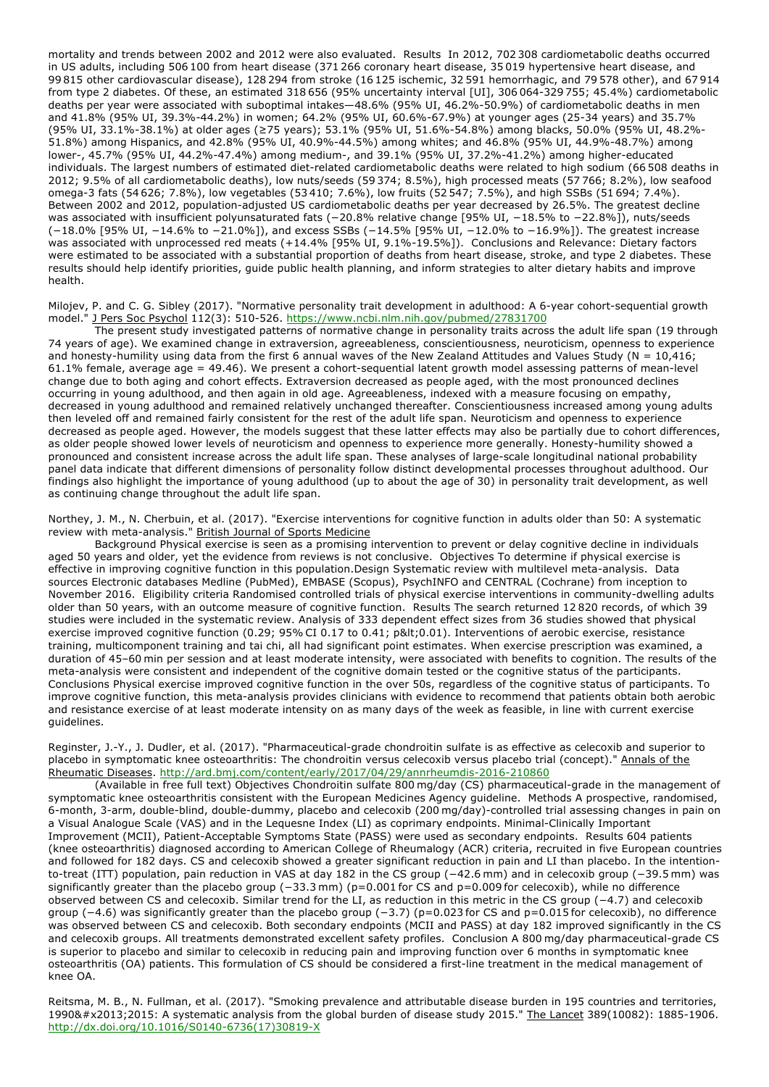mortality and trends between 2002 and 2012 were also evaluated. Results In 2012, 702 308 cardiometabolic deaths occurred in US adults, including 506 100 from heart disease (371 266 coronary heart disease, 35 019 hypertensive heart disease, and 99 815 other cardiovascular disease), 128 294 from stroke (16 125 ischemic, 32 591 hemorrhagic, and 79 578 other), and 67 914 from type 2 diabetes. Of these, an estimated 318 656 (95% uncertainty interval [UI], 306 064-329 755; 45.4%) cardiometabolic deaths per year were associated with suboptimal intakes—48.6% (95% UI, 46.2%-50.9%) of cardiometabolic deaths in men and 41.8% (95% UI, 39.3%-44.2%) in women; 64.2% (95% UI, 60.6%-67.9%) at younger ages (25-34 years) and 35.7% (95% UI, 33.1%-38.1%) at older ages (≥75 years); 53.1% (95% UI, 51.6%-54.8%) among blacks, 50.0% (95% UI, 48.2%- 51.8%) among Hispanics, and 42.8% (95% UI, 40.9%-44.5%) among whites; and 46.8% (95% UI, 44.9%-48.7%) among lower-, 45.7% (95% UI, 44.2%-47.4%) among medium-, and 39.1% (95% UI, 37.2%-41.2%) among higher-educated individuals. The largest numbers of estimated diet-related cardiometabolic deaths were related to high sodium (66 508 deaths in 2012; 9.5% of all cardiometabolic deaths), low nuts/seeds (59 374; 8.5%), high processed meats (57 766; 8.2%), low seafood omega-3 fats (54 626; 7.8%), low vegetables (53 410; 7.6%), low fruits (52 547; 7.5%), and high SSBs (51 694; 7.4%). Between 2002 and 2012, population-adjusted US cardiometabolic deaths per year decreased by 26.5%. The greatest decline was associated with insufficient polyunsaturated fats (-20.8% relative change [95% UI, -18.5% to -22.8%]), nuts/seeds (−18.0% [95% UI, −14.6% to −21.0%]), and excess SSBs (−14.5% [95% UI, −12.0% to −16.9%]). The greatest increase was associated with unprocessed red meats (+14.4% [95% UI, 9.1%-19.5%]). Conclusions and Relevance: Dietary factors were estimated to be associated with a substantial proportion of deaths from heart disease, stroke, and type 2 diabetes. These results should help identify priorities, guide public health planning, and inform strategies to alter dietary habits and improve health.

Milojev, P. and C. G. Sibley (2017). "Normative personality trait development in adulthood: A 6-year cohort-sequential growth model." J Pers Soc Psychol 112(3): 510-526. https://www.ncbi.nlm.nih.gov/pubmed/27831700

The present study investigated patterns of normative change in personality traits across the adult life span (19 through 74 years of age). We examined change in extraversion, agreeableness, conscientiousness, neuroticism, openness to experience and honesty-humility using data from the first 6 annual waves of the New Zealand Attitudes and Values Study (N =  $10,416$ ; 61.1% female, average age = 49.46). We present a cohort-sequential latent growth model assessing patterns of mean-level change due to both aging and cohort effects. Extraversion decreased as people aged, with the most pronounced declines occurring in young adulthood, and then again in old age. Agreeableness, indexed with a measure focusing on empathy, decreased in young adulthood and remained relatively unchanged thereafter. Conscientiousness increased among young adults then leveled off and remained fairly consistent for the rest of the adult life span. Neuroticism and openness to experience decreased as people aged. However, the models suggest that these latter effects may also be partially due to cohort differences, as older people showed lower levels of neuroticism and openness to experience more generally. Honesty-humility showed a pronounced and consistent increase across the adult life span. These analyses of large-scale longitudinal national probability panel data indicate that different dimensions of personality follow distinct developmental processes throughout adulthood. Our findings also highlight the importance of young adulthood (up to about the age of 30) in personality trait development, as well as continuing change throughout the adult life span.

Northey, J. M., N. Cherbuin, et al. (2017). "Exercise interventions for cognitive function in adults older than 50: A systematic review with meta-analysis." British Journal of Sports Medicine

Background Physical exercise is seen as a promising intervention to prevent or delay cognitive decline in individuals aged 50 years and older, yet the evidence from reviews is not conclusive. Objectives To determine if physical exercise is effective in improving cognitive function in this population.Design Systematic review with multilevel meta-analysis. Data sources Electronic databases Medline (PubMed), EMBASE (Scopus), PsychINFO and CENTRAL (Cochrane) from inception to November 2016. Eligibility criteria Randomised controlled trials of physical exercise interventions in community-dwelling adults older than 50 years, with an outcome measure of cognitive function. Results The search returned 12 820 records, of which 39 studies were included in the systematic review. Analysis of 333 dependent effect sizes from 36 studies showed that physical exercise improved cognitive function (0.29; 95% CI 0.17 to 0.41; p<0.01). Interventions of aerobic exercise, resistance training, multicomponent training and tai chi, all had significant point estimates. When exercise prescription was examined, a duration of 45–60 min per session and at least moderate intensity, were associated with benefits to cognition. The results of the meta-analysis were consistent and independent of the cognitive domain tested or the cognitive status of the participants. Conclusions Physical exercise improved cognitive function in the over 50s, regardless of the cognitive status of participants. To improve cognitive function, this meta-analysis provides clinicians with evidence to recommend that patients obtain both aerobic and resistance exercise of at least moderate intensity on as many days of the week as feasible, in line with current exercise guidelines.

Reginster, J.-Y., J. Dudler, et al. (2017). "Pharmaceutical-grade chondroitin sulfate is as effective as celecoxib and superior to placebo in symptomatic knee osteoarthritis: The chondroitin versus celecoxib versus placebo trial (concept)." Annals of the Rheumatic Diseases. http://ard.bmj.com/content/early/2017/04/29/annrheumdis-2016-210860

(Available in free full text) Objectives Chondroitin sulfate 800 mg/day (CS) pharmaceutical-grade in the management of symptomatic knee osteoarthritis consistent with the European Medicines Agency guideline. Methods A prospective, randomised, 6-month, 3-arm, double-blind, double-dummy, placebo and celecoxib (200 mg/day)-controlled trial assessing changes in pain on a Visual Analogue Scale (VAS) and in the Lequesne Index (LI) as coprimary endpoints. Minimal-Clinically Important Improvement (MCII), Patient-Acceptable Symptoms State (PASS) were used as secondary endpoints. Results 604 patients (knee osteoarthritis) diagnosed according to American College of Rheumalogy (ACR) criteria, recruited in five European countries and followed for 182 days. CS and celecoxib showed a greater significant reduction in pain and LI than placebo. In the intentionto-treat (ITT) population, pain reduction in VAS at day 182 in the CS group (−42.6 mm) and in celecoxib group (−39.5 mm) was significantly greater than the placebo group (−33.3 mm) (p=0.001 for CS and p=0.009 for celecoxib), while no difference observed between CS and celecoxib. Similar trend for the LI, as reduction in this metric in the CS group (−4.7) and celecoxib group (−4.6) was significantly greater than the placebo group (−3.7) (p=0.023 for CS and p=0.015 for celecoxib), no difference was observed between CS and celecoxib. Both secondary endpoints (MCII and PASS) at day 182 improved significantly in the CS and celecoxib groups. All treatments demonstrated excellent safety profiles. Conclusion A 800 mg/day pharmaceutical-grade CS is superior to placebo and similar to celecoxib in reducing pain and improving function over 6 months in symptomatic knee osteoarthritis (OA) patients. This formulation of CS should be considered a first-line treatment in the medical management of knee OA.

Reitsma, M. B., N. Fullman, et al. (2017). "Smoking prevalence and attributable disease burden in 195 countries and territories, 1990–2015: A systematic analysis from the global burden of disease study 2015." The Lancet 389(10082): 1885-1906. http://dx.doi.org/10.1016/S0140-6736(17)30819-X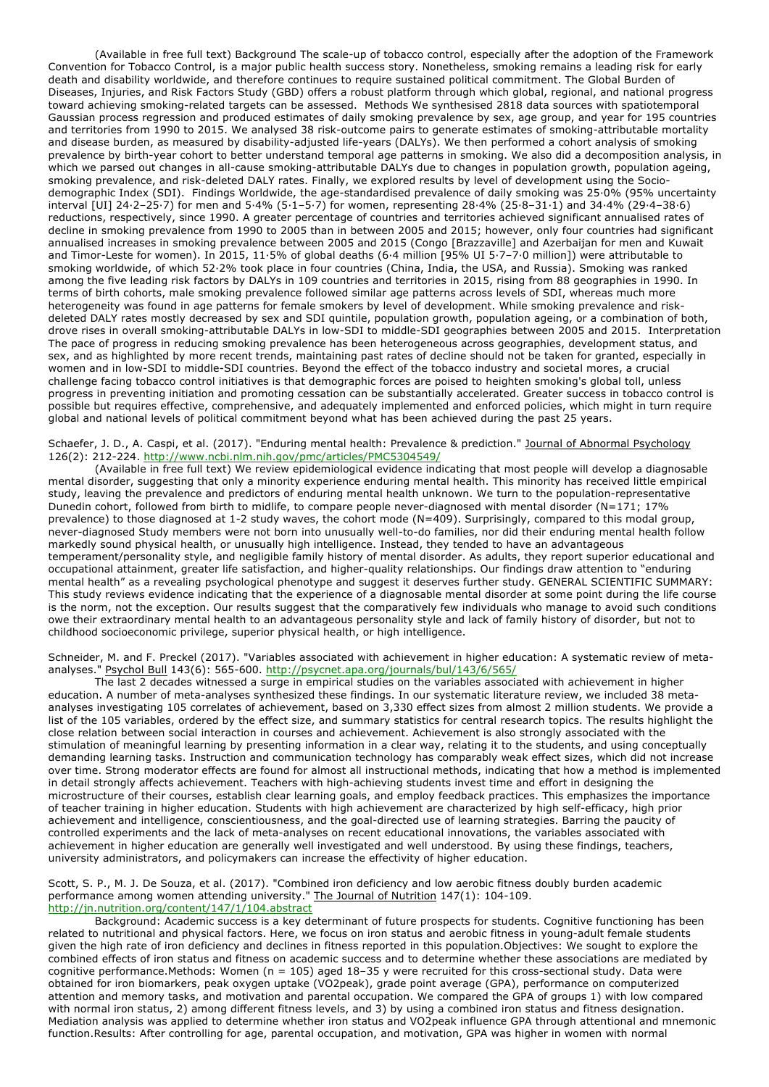(Available in free full text) Background The scale-up of tobacco control, especially after the adoption of the Framework Convention for Tobacco Control, is a major public health success story. Nonetheless, smoking remains a leading risk for early death and disability worldwide, and therefore continues to require sustained political commitment. The Global Burden of Diseases, Injuries, and Risk Factors Study (GBD) offers a robust platform through which global, regional, and national progress toward achieving smoking-related targets can be assessed. Methods We synthesised 2818 data sources with spatiotemporal Gaussian process regression and produced estimates of daily smoking prevalence by sex, age group, and year for 195 countries and territories from 1990 to 2015. We analysed 38 risk-outcome pairs to generate estimates of smoking-attributable mortality and disease burden, as measured by disability-adjusted life-years (DALYs). We then performed a cohort analysis of smoking prevalence by birth-year cohort to better understand temporal age patterns in smoking. We also did a decomposition analysis, in which we parsed out changes in all-cause smoking-attributable DALYs due to changes in population growth, population ageing, smoking prevalence, and risk-deleted DALY rates. Finally, we explored results by level of development using the Sociodemographic Index (SDI). Findings Worldwide, the age-standardised prevalence of daily smoking was 25·0% (95% uncertainty interval [UI] 24·2–25·7) for men and 5·4% (5·1–5·7) for women, representing 28·4% (25·8–31·1) and 34·4% (29·4–38·6) reductions, respectively, since 1990. A greater percentage of countries and territories achieved significant annualised rates of decline in smoking prevalence from 1990 to 2005 than in between 2005 and 2015; however, only four countries had significant annualised increases in smoking prevalence between 2005 and 2015 (Congo [Brazzaville] and Azerbaijan for men and Kuwait and Timor-Leste for women). In 2015, 11·5% of global deaths (6·4 million [95% UI 5·7–7·0 million]) were attributable to smoking worldwide, of which 52·2% took place in four countries (China, India, the USA, and Russia). Smoking was ranked among the five leading risk factors by DALYs in 109 countries and territories in 2015, rising from 88 geographies in 1990. In terms of birth cohorts, male smoking prevalence followed similar age patterns across levels of SDI, whereas much more heterogeneity was found in age patterns for female smokers by level of development. While smoking prevalence and riskdeleted DALY rates mostly decreased by sex and SDI quintile, population growth, population ageing, or a combination of both, drove rises in overall smoking-attributable DALYs in low-SDI to middle-SDI geographies between 2005 and 2015. Interpretation The pace of progress in reducing smoking prevalence has been heterogeneous across geographies, development status, and sex, and as highlighted by more recent trends, maintaining past rates of decline should not be taken for granted, especially in women and in low-SDI to middle-SDI countries. Beyond the effect of the tobacco industry and societal mores, a crucial challenge facing tobacco control initiatives is that demographic forces are poised to heighten smoking's global toll, unless progress in preventing initiation and promoting cessation can be substantially accelerated. Greater success in tobacco control is possible but requires effective, comprehensive, and adequately implemented and enforced policies, which might in turn require global and national levels of political commitment beyond what has been achieved during the past 25 years.

Schaefer, J. D., A. Caspi, et al. (2017). "Enduring mental health: Prevalence & prediction." Journal of Abnormal Psychology 126(2): 212-224. http://www.ncbi.nlm.nih.gov/pmc/articles/PMC5304549/

(Available in free full text) We review epidemiological evidence indicating that most people will develop a diagnosable mental disorder, suggesting that only a minority experience enduring mental health. This minority has received little empirical study, leaving the prevalence and predictors of enduring mental health unknown. We turn to the population-representative Dunedin cohort, followed from birth to midlife, to compare people never-diagnosed with mental disorder (N=171; 17% prevalence) to those diagnosed at 1-2 study waves, the cohort mode (N=409). Surprisingly, compared to this modal group, never-diagnosed Study members were not born into unusually well-to-do families, nor did their enduring mental health follow markedly sound physical health, or unusually high intelligence. Instead, they tended to have an advantageous temperament/personality style, and negligible family history of mental disorder. As adults, they report superior educational and occupational attainment, greater life satisfaction, and higher-quality relationships. Our findings draw attention to "enduring mental health" as a revealing psychological phenotype and suggest it deserves further study. GENERAL SCIENTIFIC SUMMARY: This study reviews evidence indicating that the experience of a diagnosable mental disorder at some point during the life course is the norm, not the exception. Our results suggest that the comparatively few individuals who manage to avoid such conditions owe their extraordinary mental health to an advantageous personality style and lack of family history of disorder, but not to childhood socioeconomic privilege, superior physical health, or high intelligence.

Schneider, M. and F. Preckel (2017). "Variables associated with achievement in higher education: A systematic review of metaanalyses." Psychol Bull 143(6): 565-600. http://psycnet.apa.org/journals/bul/143/6/565/

The last 2 decades witnessed a surge in empirical studies on the variables associated with achievement in higher education. A number of meta-analyses synthesized these findings. In our systematic literature review, we included 38 metaanalyses investigating 105 correlates of achievement, based on 3,330 effect sizes from almost 2 million students. We provide a list of the 105 variables, ordered by the effect size, and summary statistics for central research topics. The results highlight the close relation between social interaction in courses and achievement. Achievement is also strongly associated with the stimulation of meaningful learning by presenting information in a clear way, relating it to the students, and using conceptually demanding learning tasks. Instruction and communication technology has comparably weak effect sizes, which did not increase over time. Strong moderator effects are found for almost all instructional methods, indicating that how a method is implemented in detail strongly affects achievement. Teachers with high-achieving students invest time and effort in designing the microstructure of their courses, establish clear learning goals, and employ feedback practices. This emphasizes the importance of teacher training in higher education. Students with high achievement are characterized by high self-efficacy, high prior achievement and intelligence, conscientiousness, and the goal-directed use of learning strategies. Barring the paucity of controlled experiments and the lack of meta-analyses on recent educational innovations, the variables associated with achievement in higher education are generally well investigated and well understood. By using these findings, teachers, university administrators, and policymakers can increase the effectivity of higher education.

Scott, S. P., M. J. De Souza, et al. (2017). "Combined iron deficiency and low aerobic fitness doubly burden academic performance among women attending university." The Journal of Nutrition 147(1): 104-109. http://jn.nutrition.org/content/147/1/104.abstract

Background: Academic success is a key determinant of future prospects for students. Cognitive functioning has been related to nutritional and physical factors. Here, we focus on iron status and aerobic fitness in young-adult female students given the high rate of iron deficiency and declines in fitness reported in this population.Objectives: We sought to explore the combined effects of iron status and fitness on academic success and to determine whether these associations are mediated by cognitive performance.Methods: Women (n = 105) aged 18–35 y were recruited for this cross-sectional study. Data were obtained for iron biomarkers, peak oxygen uptake (VO2peak), grade point average (GPA), performance on computerized attention and memory tasks, and motivation and parental occupation. We compared the GPA of groups 1) with low compared with normal iron status, 2) among different fitness levels, and 3) by using a combined iron status and fitness designation. Mediation analysis was applied to determine whether iron status and VO2peak influence GPA through attentional and mnemonic function.Results: After controlling for age, parental occupation, and motivation, GPA was higher in women with normal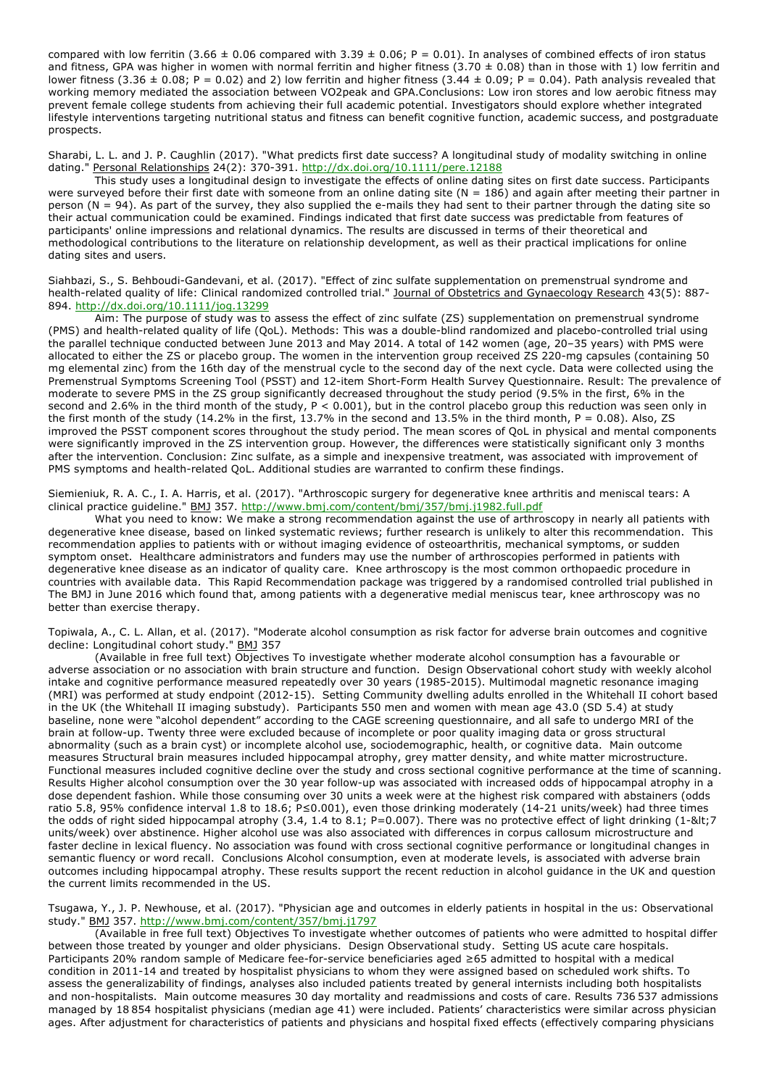compared with low ferritin (3.66  $\pm$  0.06 compared with 3.39  $\pm$  0.06; P = 0.01). In analyses of combined effects of iron status and fitness, GPA was higher in women with normal ferritin and higher fitness (3.70  $\pm$  0.08) than in those with 1) low ferritin and lower fitness (3.36  $\pm$  0.08; P = 0.02) and 2) low ferritin and higher fitness (3.44  $\pm$  0.09; P = 0.04). Path analysis revealed that working memory mediated the association between VO2peak and GPA.Conclusions: Low iron stores and low aerobic fitness may prevent female college students from achieving their full academic potential. Investigators should explore whether integrated lifestyle interventions targeting nutritional status and fitness can benefit cognitive function, academic success, and postgraduate prospects.

Sharabi, L. L. and J. P. Caughlin (2017). "What predicts first date success? A longitudinal study of modality switching in online dating." Personal Relationships 24(2): 370-391. http://dx.doi.org/10.1111/pere.12188

This study uses a longitudinal design to investigate the effects of online dating sites on first date success. Participants were surveyed before their first date with someone from an online dating site ( $N = 186$ ) and again after meeting their partner in person  $(N = 94)$ . As part of the survey, they also supplied the e-mails they had sent to their partner through the dating site so their actual communication could be examined. Findings indicated that first date success was predictable from features of participants' online impressions and relational dynamics. The results are discussed in terms of their theoretical and methodological contributions to the literature on relationship development, as well as their practical implications for online dating sites and users.

Siahbazi, S., S. Behboudi-Gandevani, et al. (2017). "Effect of zinc sulfate supplementation on premenstrual syndrome and health-related quality of life: Clinical randomized controlled trial." Journal of Obstetrics and Gynaecology Research 43(5): 887- 894. http://dx.doi.org/10.1111/jog.13299

Aim: The purpose of study was to assess the effect of zinc sulfate (ZS) supplementation on premenstrual syndrome (PMS) and health-related quality of life (QoL). Methods: This was a double-blind randomized and placebo-controlled trial using the parallel technique conducted between June 2013 and May 2014. A total of 142 women (age, 20–35 years) with PMS were allocated to either the ZS or placebo group. The women in the intervention group received ZS 220-mg capsules (containing 50 mg elemental zinc) from the 16th day of the menstrual cycle to the second day of the next cycle. Data were collected using the Premenstrual Symptoms Screening Tool (PSST) and 12-item Short-Form Health Survey Questionnaire. Result: The prevalence of moderate to severe PMS in the ZS group significantly decreased throughout the study period (9.5% in the first, 6% in the second and 2.6% in the third month of the study, P < 0.001), but in the control placebo group this reduction was seen only in the first month of the study (14.2% in the first, 13.7% in the second and 13.5% in the third month, P = 0.08). Also, ZS improved the PSST component scores throughout the study period. The mean scores of QoL in physical and mental components were significantly improved in the ZS intervention group. However, the differences were statistically significant only 3 months after the intervention. Conclusion: Zinc sulfate, as a simple and inexpensive treatment, was associated with improvement of PMS symptoms and health-related QoL. Additional studies are warranted to confirm these findings.

Siemieniuk, R. A. C., I. A. Harris, et al. (2017). "Arthroscopic surgery for degenerative knee arthritis and meniscal tears: A clinical practice guideline." BMJ 357. http://www.bmj.com/content/bmj/357/bmj.j1982.full.pdf

What you need to know: We make a strong recommendation against the use of arthroscopy in nearly all patients with degenerative knee disease, based on linked systematic reviews; further research is unlikely to alter this recommendation. This recommendation applies to patients with or without imaging evidence of osteoarthritis, mechanical symptoms, or sudden symptom onset. Healthcare administrators and funders may use the number of arthroscopies performed in patients with degenerative knee disease as an indicator of quality care. Knee arthroscopy is the most common orthopaedic procedure in countries with available data. This Rapid Recommendation package was triggered by a randomised controlled trial published in The BMJ in June 2016 which found that, among patients with a degenerative medial meniscus tear, knee arthroscopy was no better than exercise therapy.

Topiwala, A., C. L. Allan, et al. (2017). "Moderate alcohol consumption as risk factor for adverse brain outcomes and cognitive decline: Longitudinal cohort study." BMJ 357

(Available in free full text) Objectives To investigate whether moderate alcohol consumption has a favourable or adverse association or no association with brain structure and function. Design Observational cohort study with weekly alcohol intake and cognitive performance measured repeatedly over 30 years (1985-2015). Multimodal magnetic resonance imaging (MRI) was performed at study endpoint (2012-15). Setting Community dwelling adults enrolled in the Whitehall II cohort based in the UK (the Whitehall II imaging substudy). Participants 550 men and women with mean age 43.0 (SD 5.4) at study baseline, none were "alcohol dependent" according to the CAGE screening questionnaire, and all safe to undergo MRI of the brain at follow-up. Twenty three were excluded because of incomplete or poor quality imaging data or gross structural abnormality (such as a brain cyst) or incomplete alcohol use, sociodemographic, health, or cognitive data. Main outcome measures Structural brain measures included hippocampal atrophy, grey matter density, and white matter microstructure. Functional measures included cognitive decline over the study and cross sectional cognitive performance at the time of scanning. Results Higher alcohol consumption over the 30 year follow-up was associated with increased odds of hippocampal atrophy in a dose dependent fashion. While those consuming over 30 units a week were at the highest risk compared with abstainers (odds ratio 5.8, 95% confidence interval 1.8 to 18.6; P≤0.001), even those drinking moderately (14-21 units/week) had three times the odds of right sided hippocampal atrophy  $(3.4, 1.4$  to  $8.1; P=0.007)$ . There was no protective effect of light drinking  $(1-8)$ lt;7 units/week) over abstinence. Higher alcohol use was also associated with differences in corpus callosum microstructure and faster decline in lexical fluency. No association was found with cross sectional cognitive performance or longitudinal changes in semantic fluency or word recall. Conclusions Alcohol consumption, even at moderate levels, is associated with adverse brain outcomes including hippocampal atrophy. These results support the recent reduction in alcohol guidance in the UK and question the current limits recommended in the US.

Tsugawa, Y., J. P. Newhouse, et al. (2017). "Physician age and outcomes in elderly patients in hospital in the us: Observational study." BMJ 357. http://www.bmj.com/content/357/bmj.j1797

(Available in free full text) Objectives To investigate whether outcomes of patients who were admitted to hospital differ between those treated by younger and older physicians. Design Observational study. Setting US acute care hospitals. Participants 20% random sample of Medicare fee-for-service beneficiaries aged ≥65 admitted to hospital with a medical condition in 2011-14 and treated by hospitalist physicians to whom they were assigned based on scheduled work shifts. To assess the generalizability of findings, analyses also included patients treated by general internists including both hospitalists and non-hospitalists. Main outcome measures 30 day mortality and readmissions and costs of care. Results 736 537 admissions managed by 18 854 hospitalist physicians (median age 41) were included. Patients' characteristics were similar across physician ages. After adjustment for characteristics of patients and physicians and hospital fixed effects (effectively comparing physicians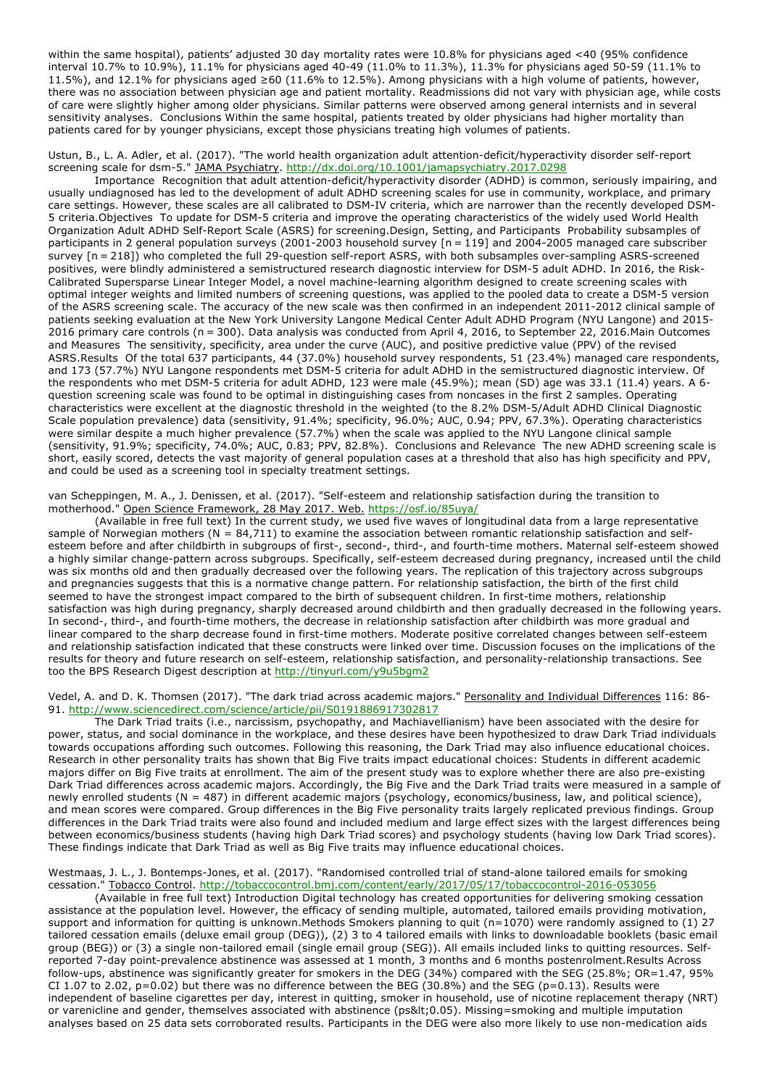within the same hospital), patients' adjusted 30 day mortality rates were 10.8% for physicians aged <40 (95% confidence interval 10.7% to 10.9%), 11.1% for physicians aged 40-49 (11.0% to 11.3%), 11.3% for physicians aged 50-59 (11.1% to 11.5%), and 12.1% for physicians aged  $\geq 60$  (11.6% to 12.5%). Among physicians with a high volume of patients, however, there was no association between physician age and patient mortality. Readmissions did not vary with physician age, while costs of care were slightly higher among older physicians. Similar patterns were observed among general internists and in several sensitivity analyses. Conclusions Within the same hospital, patients treated by older physicians had higher mortality than patients cared for by younger physicians, except those physicians treating high volumes of patients.

Ustun, B., L. A. Adler, et al. (2017). "The world health organization adult attention-deficit/hyperactivity disorder self-report screening scale for dsm-5." JAMA Psychiatry. http://dx.doi.org/10.1001/jamapsychiatry.2017.0298

Importance Recognition that adult attention-deficit/hyperactivity disorder (ADHD) is common, seriously impairing, and usually undiagnosed has led to the development of adult ADHD screening scales for use in community, workplace, and primary care settings. However, these scales are all calibrated to DSM-IV criteria, which are narrower than the recently developed DSM-5 criteria.Objectives To update for DSM-5 criteria and improve the operating characteristics of the widely used World Health Organization Adult ADHD Self-Report Scale (ASRS) for screening.Design, Setting, and Participants Probability subsamples of participants in 2 general population surveys (2001-2003 household survey [n = 119] and 2004-2005 managed care subscriber survey [n = 218]) who completed the full 29-question self-report ASRS, with both subsamples over-sampling ASRS-screened positives, were blindly administered a semistructured research diagnostic interview for DSM-5 adult ADHD. In 2016, the Risk-Calibrated Supersparse Linear Integer Model, a novel machine-learning algorithm designed to create screening scales with optimal integer weights and limited numbers of screening questions, was applied to the pooled data to create a DSM-5 version of the ASRS screening scale. The accuracy of the new scale was then confirmed in an independent 2011-2012 clinical sample of patients seeking evaluation at the New York University Langone Medical Center Adult ADHD Program (NYU Langone) and 2015- 2016 primary care controls (n = 300). Data analysis was conducted from April 4, 2016, to September 22, 2016.Main Outcomes and Measures The sensitivity, specificity, area under the curve (AUC), and positive predictive value (PPV) of the revised ASRS.Results Of the total 637 participants, 44 (37.0%) household survey respondents, 51 (23.4%) managed care respondents, and 173 (57.7%) NYU Langone respondents met DSM-5 criteria for adult ADHD in the semistructured diagnostic interview. Of the respondents who met DSM-5 criteria for adult ADHD, 123 were male (45.9%); mean (SD) age was 33.1 (11.4) years. A 6 question screening scale was found to be optimal in distinguishing cases from noncases in the first 2 samples. Operating characteristics were excellent at the diagnostic threshold in the weighted (to the 8.2% DSM-5/Adult ADHD Clinical Diagnostic Scale population prevalence) data (sensitivity, 91.4%; specificity, 96.0%; AUC, 0.94; PPV, 67.3%). Operating characteristics were similar despite a much higher prevalence (57.7%) when the scale was applied to the NYU Langone clinical sample (sensitivity, 91.9%; specificity, 74.0%; AUC, 0.83; PPV, 82.8%). Conclusions and Relevance The new ADHD screening scale is short, easily scored, detects the vast majority of general population cases at a threshold that also has high specificity and PPV, and could be used as a screening tool in specialty treatment settings.

van Scheppingen, M. A., J. Denissen, et al. (2017). "Self-esteem and relationship satisfaction during the transition to motherhood." Open Science Framework, 28 May 2017. Web. https://osf.io/85uya/

(Available in free full text) In the current study, we used five waves of longitudinal data from a large representative sample of Norwegian mothers ( $N = 84,711$ ) to examine the association between romantic relationship satisfaction and selfesteem before and after childbirth in subgroups of first-, second-, third-, and fourth-time mothers. Maternal self-esteem showed a highly similar change-pattern across subgroups. Specifically, self-esteem decreased during pregnancy, increased until the child was six months old and then gradually decreased over the following years. The replication of this trajectory across subgroups and pregnancies suggests that this is a normative change pattern. For relationship satisfaction, the birth of the first child seemed to have the strongest impact compared to the birth of subsequent children. In first-time mothers, relationship satisfaction was high during pregnancy, sharply decreased around childbirth and then gradually decreased in the following years. In second-, third-, and fourth-time mothers, the decrease in relationship satisfaction after childbirth was more gradual and linear compared to the sharp decrease found in first-time mothers. Moderate positive correlated changes between self-esteem and relationship satisfaction indicated that these constructs were linked over time. Discussion focuses on the implications of the results for theory and future research on self-esteem, relationship satisfaction, and personality-relationship transactions. See too the BPS Research Digest description at http://tinyurl.com/y9u5bgm2

## Vedel, A. and D. K. Thomsen (2017). "The dark triad across academic majors." Personality and Individual Differences 116: 86- 91. http://www.sciencedirect.com/science/article/pii/S0191886917302817

The Dark Triad traits (i.e., narcissism, psychopathy, and Machiavellianism) have been associated with the desire for power, status, and social dominance in the workplace, and these desires have been hypothesized to draw Dark Triad individuals towards occupations affording such outcomes. Following this reasoning, the Dark Triad may also influence educational choices. Research in other personality traits has shown that Big Five traits impact educational choices: Students in different academic majors differ on Big Five traits at enrollment. The aim of the present study was to explore whether there are also pre-existing Dark Triad differences across academic majors. Accordingly, the Big Five and the Dark Triad traits were measured in a sample of newly enrolled students (N = 487) in different academic majors (psychology, economics/business, law, and political science), and mean scores were compared. Group differences in the Big Five personality traits largely replicated previous findings. Group differences in the Dark Triad traits were also found and included medium and large effect sizes with the largest differences being between economics/business students (having high Dark Triad scores) and psychology students (having low Dark Triad scores). These findings indicate that Dark Triad as well as Big Five traits may influence educational choices.

# Westmaas, J. L., J. Bontemps-Jones, et al. (2017). "Randomised controlled trial of stand-alone tailored emails for smoking cessation." Tobacco Control. http://tobaccocontrol.bmj.com/content/early/2017/05/17/tobaccocontrol-2016-053056

(Available in free full text) Introduction Digital technology has created opportunities for delivering smoking cessation assistance at the population level. However, the efficacy of sending multiple, automated, tailored emails providing motivation, support and information for quitting is unknown.Methods Smokers planning to quit (n=1070) were randomly assigned to (1) 27 tailored cessation emails (deluxe email group (DEG)), (2) 3 to 4 tailored emails with links to downloadable booklets (basic email group (BEG)) or (3) a single non-tailored email (single email group (SEG)). All emails included links to quitting resources. Selfreported 7-day point-prevalence abstinence was assessed at 1 month, 3 months and 6 months postenrolment.Results Across follow-ups, abstinence was significantly greater for smokers in the DEG (34%) compared with the SEG (25.8%; OR=1.47, 95% CI 1.07 to 2.02,  $p=0.02$ ) but there was no difference between the BEG (30.8%) and the SEG ( $p=0.13$ ). Results were independent of baseline cigarettes per day, interest in quitting, smoker in household, use of nicotine replacement therapy (NRT) or varenicline and gender, themselves associated with abstinence (ps<0.05). Missing=smoking and multiple imputation analyses based on 25 data sets corroborated results. Participants in the DEG were also more likely to use non-medication aids